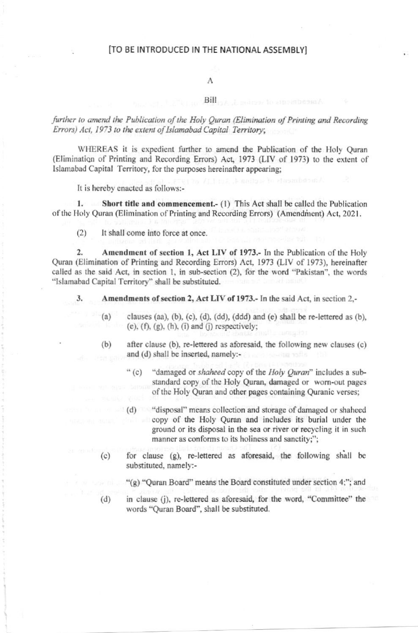#### [TO BE INTRODUCED IN THE NATIONAL ASSEMBLY]

#### A

#### Bill

further to amend the Publication of the Holy Ouran (Elimination of Printing and Recording Errors) Act, 1973 to the extent of Islamabad Capital Territory;

WHEREAS it is expedient further to amend the Publication of the Holy Quran (Elimination of Printing and Recording Errors) Act, 1973 (LIV of 1973) to the extent of Islamabad Capital Territory, for the purposes hereinafter appearing;

It is hereby enacted as follows:-

 $1.$ Short title and commencement.- (1) This Act shall be called the Publication of the Holy Quran (Elimination of Printing and Recording Errors) (Amendment) Act, 2021.

It shall come into force at once.  $(2)$ 

Amendment of section 1, Act LIV of 1973.- In the Publication of the Holy  $\overline{2}$ . Quran (Elimination of Printing and Recording Errors) Act, 1973 (LIV of 1973), hereinafter called as the said Act, in section 1, in sub-section (2), for the word "Pakistan", the words "Islamabad Capital Territory" shall be substituted.

Amendments of section 2, Act LIV of 1973.- In the said Act, in section 2,-3.

- clauses (aa), (b), (c), (d), (dd), (ddd) and (e) shall be re-lettered as (b),  $(a)$  $(e)$ ,  $(f)$ ,  $(g)$ ,  $(h)$ ,  $(i)$  and  $(j)$  respectively;
- $(b)$ after clause (b), re-lettered as aforesaid, the following new clauses (c) and (d) shall be inserted, namely:-
	- $``$  (c) "damaged or shaheed copy of the Holy Quran" includes a substandard copy of the Holy Quran, damaged or worn-out pages of the Holy Quran and other pages containing Quranic verses;
	- (d) "disposal" means collection and storage of damaged or shaheed copy of the Holy Quran and includes its burial under the ground or its disposal in the sea or river or recycling it in such manner as conforms to its holiness and sanctity;";
- for clause (g), re-lettered as aforesaid, the following shall be  $(c)$ substituted, namely:-

"(g) "Quran Board" means the Board constituted under section 4;"; and

in clause (j), re-lettered as aforesaid, for the word, "Committee" the  $(d)$ words "Ouran Board", shall be substituted.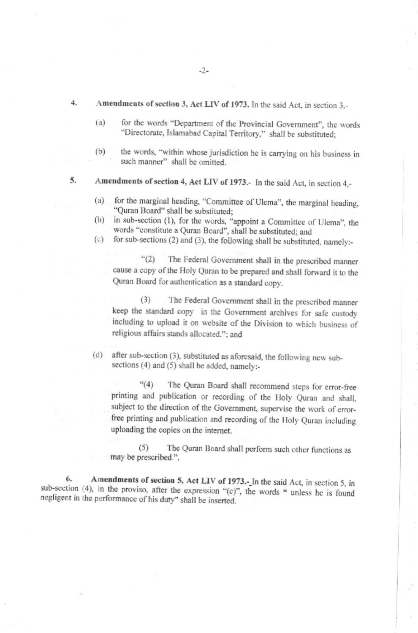#### Amendments of section 3, Act LIV of 1973. In the said Act, in section 3,-

- for the words "Department of the Provincial Government", the words  $(a)$ "Directorate, Islamabad Capital Territory," shall be substituted;
- the words, "within whose jurisdiction he is carrying on his business in  $(b)$ such manner" shall be omitted.
- Amendments of section 4, Act LIV of 1973.- In the said Act, in section 4,-5.
	- for the marginal heading, "Committee of Ulema", the marginal heading, (a) "Quran Board" shall be substituted:
	- in sub-section (1), for the words, "appoint a Committee of Ulema", the  $(b)$ words "constitute a Quran Board", shall be substituted; and
	- for sub-sections (2) and (3), the following shall be substituted, namely:- $(c)$

 $``(2)$ The Federal Government shall in the prescribed manner cause a copy of the Holy Quran to be prepared and shall forward it to the Quran Board for authentication as a standard copy.

The Federal Government shall in the prescribed manner  $(3)$ keep the standard copy in the Government archives for safe custody including to upload it on website of the Division to which business of religious affairs stands allocated."; and

(d) after sub-section (3), substituted as aforesaid, the following new subsections (4) and (5) shall be added, namely:-

"(4) The Quran Board shall recommend steps for error-free printing and publication or recording of the Holy Quran and shall, subject to the direction of the Government, supervise the work of errorfree printing and publication and recording of the Holy Quran including uploading the copies on the internet.

 $(5)$ The Quran Board shall perform such other functions as may be prescribed.".

Amendments of section 5, Act LIV of 1973.- In the said Act, in section 5, in 6. sub-section (4), in the proviso, after the expression "(c)", the words " unless he is found negligent in the performance of his duty" shall be inserted.

 $4.$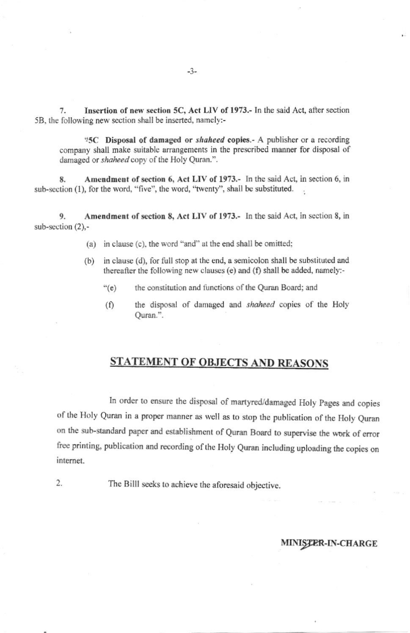7. Insertion of new section 5C, Act LIV of 1973.- In the said Act, after section 5B, the following new section shall be inserted, namely:-

"5C Disposal of damaged or shaheed copies.- A publisher or a recording company shall make suitable arrangements in the prescribed manner for disposal of damaged or shaheed copy of the Holy Quran.".

Amendment of section 6, Act LIV of 1973.- In the said Act, in section 6, in 8. sub-section (1), for the word, "five", the word, "twenty", shall be substituted.

Amendment of section 8, Act LIV of 1973.- In the said Act, in section 8, in  $\mathbf Q$ sub-section  $(2)$ .-

- (a) in clause (c), the word "and" at the end shall be omitted;
- (b) in clause (d), for full stop at the end, a semicolon shall be substituted and thereafter the following new clauses (e) and (f) shall be added, namely:-
	- $``(e)$ the constitution and functions of the Quran Board; and
	- the disposal of damaged and shaheed copies of the Holy  $(f)$ Ouran.".

### **STATEMENT OF OBJECTS AND REASONS**

In order to ensure the disposal of martyred/damaged Holy Pages and copies of the Holy Quran in a proper manner as well as to stop the publication of the Holy Quran on the sub-standard paper and establishment of Quran Board to supervise the work of error free printing, publication and recording of the Holy Quran including uploading the copies on internet.

The Billl seeks to achieve the aforesaid objective.

2.

#### MINISTER-IN-CHARGE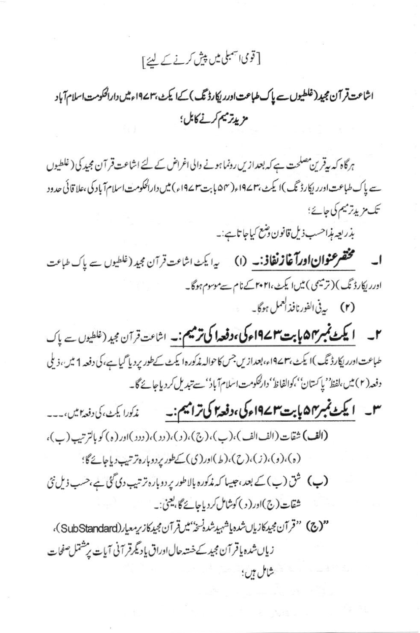# [ قومی اسمبلی میں پیش کرنے کے لئے ]

اشاعت قر آن مجید (غلطیوں سے پاک طباعت اورریکارڈ تک) کےا یکٹ، ۱۹۷۳ء میں دارالحکومت اسلام آباد مزيدتر ميم كرنے كابل؛

ہرگاہ کہ بیقرین مصلحت ہے کہ بعدازیں رونما ہونے والی اغراض کے لئے اشاعت قر آن مجید کی ( غلطیوں سے پاک طباعت اور ریکارڈ نگ)ا یکٹ،۱۹۷۳ء(۵۴ پابت۳ ۱۹۷۲ء) میں دارالحکومت اسلام آباد کی ،علا قائی حدود تک مزید ترمیم کی جائے؛

بذريعه منبراحسب ذيل قانون وشع كياجا تاہے:۔

**ا۔ گُنْتَفَرعنُوانِ!ورآغازنْغاذ:۔ (۱)** یہ ایکٹ اشاعت قرآن مجید (غلطیوں سے پاک طباعت اورر لکارڈ ٹک) (ترمیمی) میں ایکٹ،۲۰۲۱ کے نام سےموسوم ہوگا۔ (۲) پی<sup>نی ا</sup>لفورنافذ ا<sup>لعمل</sup> ہوگا۔

۲۔ ایکٹ نمبر ۴۵ ہابت ۱۹۷۴ء کی، وفعدا کی ترمیم:۔ اشاعت قرآن مجید (غلطیوں ے پاک طباعت اورریکارڈ نگ)ا یکٹ، ۱۹۷۳ء،بعدازیں جس کاحوالہ مذکورہ ایکٹ کےطور پر دیا گیاہے،کی دفعہ 1 میں، ذیلی دفعہ(٢) میں،لفظ''یا کستان''،کوالفاظ''دارکحکومت!سلام آباد''سے تبدیل کردیاجائے گا۔

س ایکٹ نمبر میں است ۱۹۷۲ء کی، وفعہ ای ترامیم:۔ ندکورا یک کی دفعہ میں،۔۔۔ (الف) شقات (الف الف)،(ب)،(ج)،(،)،(د)،(دد)اور(ه) کو بالترتیب (ب)،

(ه)، (و)، (ز)، (ح))، (ط)اور (ی) کےطور پردوبارہ ترتیب دیاجائے گا؛ **(پ)** شق (پ) کے بعد ،جیسا کہ مذکورہ بالاطور پر دوبارہ تر تیپ دی گئی ہے،حسب ذیل نئی شقات (ج)اور ( د ) كوشامل كردياجائے گا، يعني:۔

"(ج) "قرآن مجيدكازيان شده ياشهيدشده نسخه بميرقرآن مجيدكاز رمعيار (SubStandard)، زياں شدہ ياقر آن مجيد کے خستہ حال اوراق ياد گرقر آنی آيات پر مشتمل صفحات شامل ہیں؛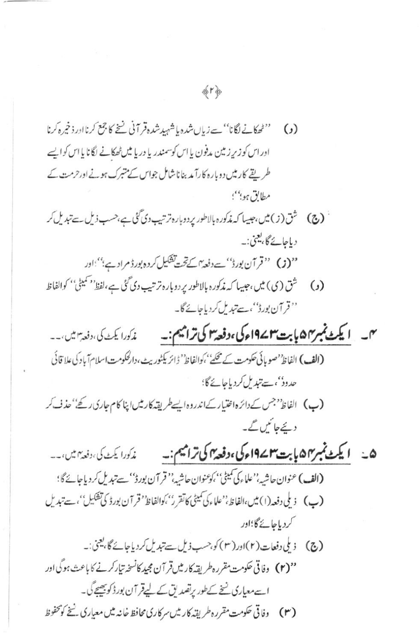(1) 
$$
{}^{n^{2}}
$$
  ${}^{n^{3}}$   ${}^{n^{4}}$   ${}^{n^{5}}$   ${}^{n^{6}}$   ${}^{n^{6}}$   ${}^{n^{6}}$   ${}^{n^{6}}$   ${}^{n^{6}}$   ${}^{n^{6}}$   ${}^{n^{6}}$   ${}^{n^{6}}$   ${}^{n^{6}}$   ${}^{n^{6}}$   ${}^{n^{6}}$   ${}^{n^{6}}$   ${}^{n^{6}}$   ${}^{n^{6}}$   ${}^{n^{6}}$   ${}^{n^{6}}$   ${}^{n^{6}}$   ${}^{n^{6}}$   ${}^{n^{6}}$   ${}^{n^{6}}$   ${}^{n^{6}}$   ${}^{n^{6}}$   ${}^{n^{6}}$   ${}^{n^{6}}$   ${}^{n^{6}}$   ${}^{n^{6}}$   ${}^{n^{6}}$   ${}^{n^{6}}$   ${}^{n^{6}}$   ${}^{n^{6}}$   ${}^{n^{6}}$   ${}^{n^{6}}$   ${}^{n^{6}}$   ${}^{n^{6}}$   ${}^{n^{6}}$   ${}^{n^{6}}$   ${}^{n^{6}}$   ${}^{n^{6}}$   ${}^{n^{6}}$   ${}^{n^{6}}$   ${}^{n^{6}}$   ${}^{n^{6}}$   ${}^{n^{6}}$   ${}^{n^{6}}$   ${}^{n^{6}}$   ${}^{n^{6}}$   ${}^{n^{6}}$   ${}^{n^{6}}$   ${}^{n^{6}}$   ${}^{n^{6}}$   ${}^{n^{6}}$   ${}^{n^{6}}$   ${}^{n^{6}}$   ${}^{n^{6}}$   ${}^{n^{6}}$   ${}^{n^{6}}$   ${}^{n^{6}}$   ${}^{n^{6}}$   ${}^{n^{6}}$   ${}^{n^{6}}$   ${}^{n^{6}}$   ${}^{n^{6}}$   ${}^{n^{6}}$   ${}^{n^{6}}$   ${}^{n^{6}}$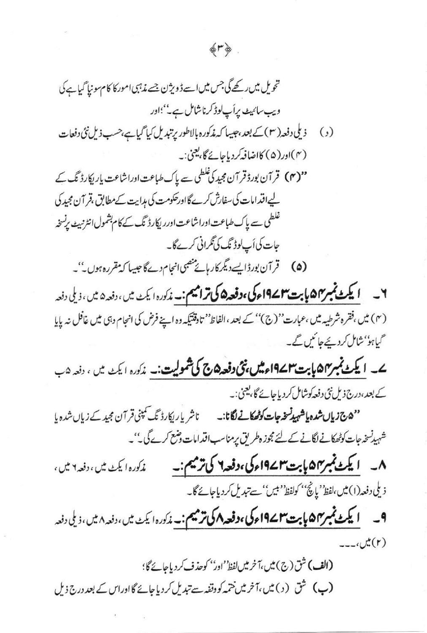غلطی سے پاک طباعت اوراشاعت اورر ایکارڈ نگ کے کام بشمول انٹرنبیٹ برنسخہ جات کی اَپ لوڈ ٹک کی ٹکرانی کرےگا۔

(۵) قرآن بورڈاپے دیگر کار ہائے منصبی انجام دےگا جیسا کہ مقررہ ہوں۔''۔

٧\_ **ایکٹ نمبر۴۵ پابت۳۷۴ءکی،دفعہ۵ کی ترامیم:۔ م**ذکورہ ایکٹ میں،دفعہ۵ میں، ذیلی دفعہ (۴) میں ،فقرہ شرطیہ میں ،عبارت''(ج)'' کے بعد ،الفاظ'' تاوقتیکہ وہ اپنے فرض کی انجام دبی میں غافل نہ پایا گیاہو''شامل کردیئے جا کیں گے۔

ے۔ ایکٹ نمبر ۵۴ بابت ۱۹۷۳ء میں بنی دفعہ ۵ کی شمولیت:۔ مدکورہ ایکٹ میں، دفعہ ۵ب کے بعد،درج ذیل نئی دفعہ کوشامل کر دیاجائے گا، یعنی:۔

شہیدنسخہ جات کوٹھکانے لگانے کے لئے مجوز ہطریق پر مناسب اقدامات وضع کرے گی۔''۔

٨۔ ایکٹ نمبر ۵۷ ہابت۳ ۱۹۷۲ء کی، دفعہ ۲ کی ترمیم:۔ مذكوره اليكٹ ميں ، دفعہ ۲ ميں ، ذيلى دفعه(١) مين ،لفظ' إيچُ'' كولفظ' بين'' سے تبديل كردياجائے گا۔

 $\omega^*(r)$ 

(الف) شق (ج) ميں،آخر ميں لفظ''ادر'' كوحذف كردياجائے گا؛

(ب) شق (د) میں،آخر میں ختمہ کووقفہ سے تبدیل کردیاجائے گااوراس کے بعد درج ذیل

## 命下の